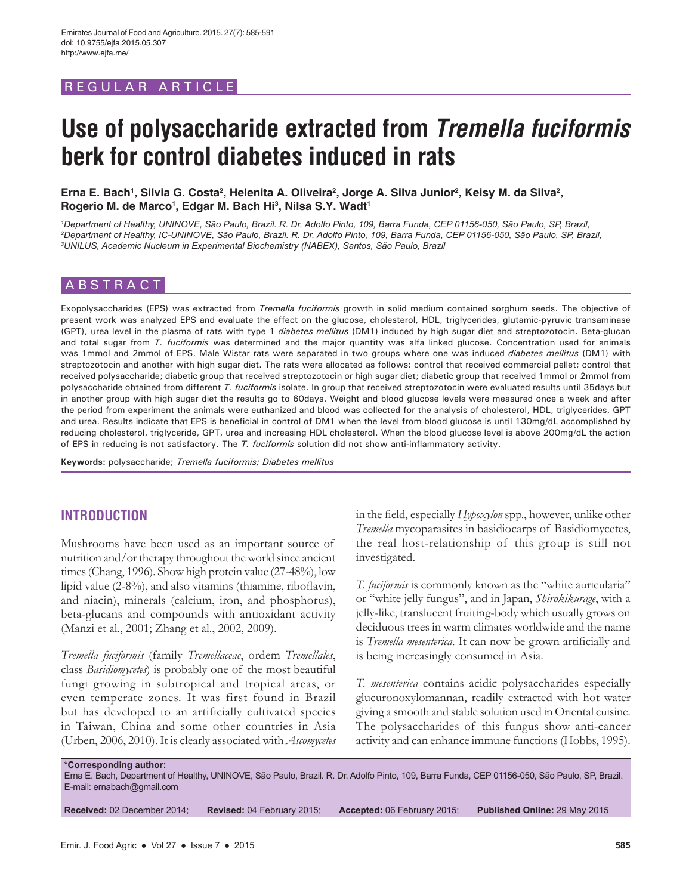# REGULAR ARTICLE

# **Use of polysaccharide extracted from** *Tremella fuciformis* **berk for control diabetes induced in rats**

Erna E. Bach<sup>1</sup>, Silvia G. Costa<sup>2</sup>, Helenita A. Oliveira<sup>2</sup>, Jorge A. Silva Junior<sup>2</sup>, Keisy M. da Silva<sup>2</sup>, **Rogerio M. de Marco1 , Edgar M. Bach Hi3 , Nilsa S.Y. Wadt1**

*1 Department of Healthy, UNINOVE, São Paulo, Brazil. R. Dr. Adolfo Pinto, 109, Barra Funda, CEP 01156-050, São Paulo, SP, Brazil, 2 Department of Healthy, IC-UNINOVE, São Paulo, Brazil. R. Dr. Adolfo Pinto, 109, Barra Funda, CEP 01156-050, São Paulo, SP, Brazil, 3 UNILUS, Academic Nucleum in Experimental Biochemistry (NABEX), Santos, São Paulo, Brazil*

# ABSTRACT

Exopolysaccharides (EPS) was extracted from *Tremella fuciformis* growth in solid medium contained sorghum seeds. The objective of present work was analyzed EPS and evaluate the effect on the glucose, cholesterol, HDL, triglycerides, glutamic-pyruvic transaminase (GPT), urea level in the plasma of rats with type 1 *diabetes mellitus* (DM1) induced by high sugar diet and streptozotocin. Beta-glucan and total sugar from *T. fuciformis* was determined and the major quantity was alfa linked glucose. Concentration used for animals was 1mmol and 2mmol of EPS. Male Wistar rats were separated in two groups where one was induced *diabetes mellitus* (DM1) with streptozotocin and another with high sugar diet. The rats were allocated as follows: control that received commercial pellet; control that received polysaccharide; diabetic group that received streptozotocin or high sugar diet; diabetic group that received 1mmol or 2mmol from polysaccharide obtained from different *T. fuciformis* isolate. In group that received streptozotocin were evaluated results until 35days but in another group with high sugar diet the results go to 60days. Weight and blood glucose levels were measured once a week and after the period from experiment the animals were euthanized and blood was collected for the analysis of cholesterol, HDL, triglycerides, GPT and urea. Results indicate that EPS is beneficial in control of DM1 when the level from blood glucose is until 130mg/dL accomplished by reducing cholesterol, triglyceride, GPT, urea and increasing HDL cholesterol. When the blood glucose level is above 200mg/dL the action of EPS in reducing is not satisfactory. The *T. fuciformis* solution did not show anti-inflammatory activity.

**Keywords:** polysaccharide; *Tremella fuciformis; Diabetes mellitus*

## **INTRODUCTION**

Mushrooms have been used as an important source of nutrition and/or therapy throughout the world since ancient times (Chang, 1996). Show high protein value (27-48%), low lipid value (2-8%), and also vitamins (thiamine, riboflavin, and niacin), minerals (calcium, iron, and phosphorus), beta-glucans and compounds with antioxidant activity (Manzi et al., 2001; Zhang et al., 2002, 2009).

*Tremella fuciformis* (family *Tremellaceae*, ordem *Tremellales*, class *Basidiomycetes*) is probably one of the most beautiful fungi growing in subtropical and tropical areas, or even temperate zones. It was first found in Brazil but has developed to an artificially cultivated species in Taiwan, China and some other countries in Asia (Urben, 2006, 2010). It is clearly associated with *Ascomycetes* in the field, especially *Hypoxylon* spp., however, unlike other *Tremella* mycoparasites in basidiocarps of Basidiomycetes, the real host-relationship of this group is still not investigated.

*T. fuciformis* is commonly known as the "white auricularia" or "white jelly fungus", and in Japan, *Shirokikurage*, with a jelly-like, translucent fruiting-body which usually grows on deciduous trees in warm climates worldwide and the name is *Tremella mesenterica*. It can now be grown artificially and is being increasingly consumed in Asia.

*T. mesenterica* contains acidic polysaccharides especially glucuronoxylomannan, readily extracted with hot water giving a smooth and stable solution used in Oriental cuisine. The polysaccharides of this fungus show anti-cancer activity and can enhance immune functions (Hobbs, 1995).

**\*Corresponding author:** Erna E. Bach, Department of Healthy, UNINOVE, São Paulo, Brazil. R. Dr. Adolfo Pinto, 109, Barra Funda, CEP 01156-050, São Paulo, SP, Brazil. E-mail: ernabach@gmail.com

**Received:** 02 December 2014; **Revised:** 04 February 2015; **Accepted:** 06 February 2015; **Published Online:** 29 May 2015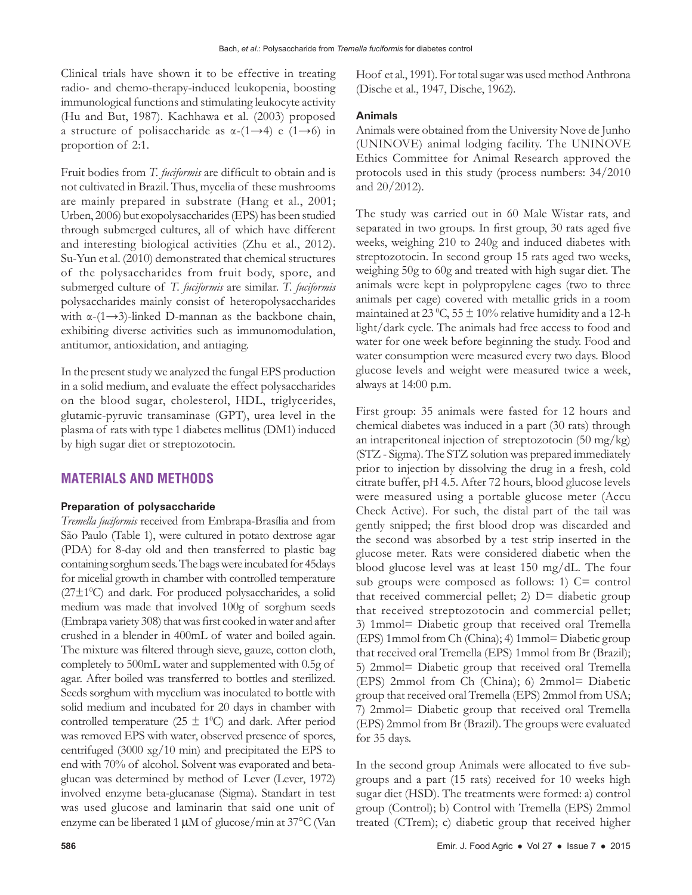Clinical trials have shown it to be effective in treating radio- and chemo-therapy-induced leukopenia, boosting immunological functions and stimulating leukocyte activity (Hu and But, 1987). Kachhawa et al. (2003) proposed a structure of polisaccharide as  $\alpha$ -(1→4) e (1→6) in proportion of 2:1.

Fruit bodies from *T. fuciformis* are difficult to obtain and is not cultivated in Brazil. Thus, mycelia of these mushrooms are mainly prepared in substrate (Hang et al., 2001; Urben, 2006) but exopolysaccharides (EPS) has been studied through submerged cultures, all of which have different and interesting biological activities (Zhu et al., 2012). Su-Yun et al. (2010) demonstrated that chemical structures of the polysaccharides from fruit body, spore, and submerged culture of *T. fuciformis* are similar. *T. fuciformis* polysaccharides mainly consist of heteropolysaccharides with  $\alpha$ -(1→3)-linked D-mannan as the backbone chain, exhibiting diverse activities such as immunomodulation, antitumor, antioxidation, and antiaging.

In the present study we analyzed the fungal EPS production in a solid medium, and evaluate the effect polysaccharides on the blood sugar, cholesterol, HDL, triglycerides, glutamic-pyruvic transaminase (GPT), urea level in the plasma of rats with type 1 diabetes mellitus (DM1) induced by high sugar diet or streptozotocin.

# **MATERIALS AND METHODS**

### **Preparation of polysaccharide**

*Tremella fuciformis* received from Embrapa-Brasília and from São Paulo (Table 1), were cultured in potato dextrose agar (PDA) for 8-day old and then transferred to plastic bag containing sorghum seeds. The bags were incubated for 45days for micelial growth in chamber with controlled temperature (27±10 C) and dark. For produced polysaccharides, a solid medium was made that involved 100g of sorghum seeds (Embrapa variety 308) that was first cooked in water and after crushed in a blender in 400mL of water and boiled again. The mixture was filtered through sieve, gauze, cotton cloth, completely to 500mL water and supplemented with 0.5g of agar. After boiled was transferred to bottles and sterilized. Seeds sorghum with mycelium was inoculated to bottle with solid medium and incubated for 20 days in chamber with controlled temperature ( $25 \pm 1$ <sup>o</sup>C) and dark. After period was removed EPS with water, observed presence of spores, centrifuged (3000 xg/10 min) and precipitated the EPS to end with 70% of alcohol. Solvent was evaporated and betaglucan was determined by method of Lever (Lever, 1972) involved enzyme beta-glucanase (Sigma). Standart in test was used glucose and laminarin that said one unit of enzyme can be liberated 1 µM of glucose/min at 37°C (Van

Hoof et al., 1991). For total sugar was used method Anthrona (Dische et al., 1947, Dische, 1962).

#### **Animals**

Animals were obtained from the University Nove de Junho (UNINOVE) animal lodging facility. The UNINOVE Ethics Committee for Animal Research approved the protocols used in this study (process numbers: 34/2010 and 20/2012).

The study was carried out in 60 Male Wistar rats, and separated in two groups. In first group, 30 rats aged five weeks, weighing 210 to 240g and induced diabetes with streptozotocin. In second group 15 rats aged two weeks, weighing 50g to 60g and treated with high sugar diet. The animals were kept in polypropylene cages (two to three animals per cage) covered with metallic grids in a room maintained at 23 °C, 55  $\pm$  10% relative humidity and a 12-h light/dark cycle. The animals had free access to food and water for one week before beginning the study. Food and water consumption were measured every two days. Blood glucose levels and weight were measured twice a week, always at 14:00 p.m.

First group: 35 animals were fasted for 12 hours and chemical diabetes was induced in a part (30 rats) through an intraperitoneal injection of streptozotocin (50 mg/kg) (STZ - Sigma). The STZ solution was prepared immediately prior to injection by dissolving the drug in a fresh, cold citrate buffer, pH 4.5. After 72 hours, blood glucose levels were measured using a portable glucose meter (Accu Check Active). For such, the distal part of the tail was gently snipped; the first blood drop was discarded and the second was absorbed by a test strip inserted in the glucose meter. Rats were considered diabetic when the blood glucose level was at least 150 mg/dL. The four sub groups were composed as follows: 1) C= control that received commercial pellet;  $2$ )  $D=$  diabetic group that received streptozotocin and commercial pellet; 3) 1mmol= Diabetic group that received oral Tremella (EPS) 1mmol from Ch (China); 4) 1mmol= Diabetic group that received oral Tremella (EPS) 1mmol from Br (Brazil); 5) 2mmol= Diabetic group that received oral Tremella (EPS) 2mmol from Ch (China); 6) 2mmol= Diabetic group that received oral Tremella (EPS) 2mmol from USA; 7) 2mmol= Diabetic group that received oral Tremella (EPS) 2mmol from Br (Brazil). The groups were evaluated for 35 days.

In the second group Animals were allocated to five subgroups and a part (15 rats) received for 10 weeks high sugar diet (HSD). The treatments were formed: a) control group (Control); b) Control with Tremella (EPS) 2mmol treated (CTrem); c) diabetic group that received higher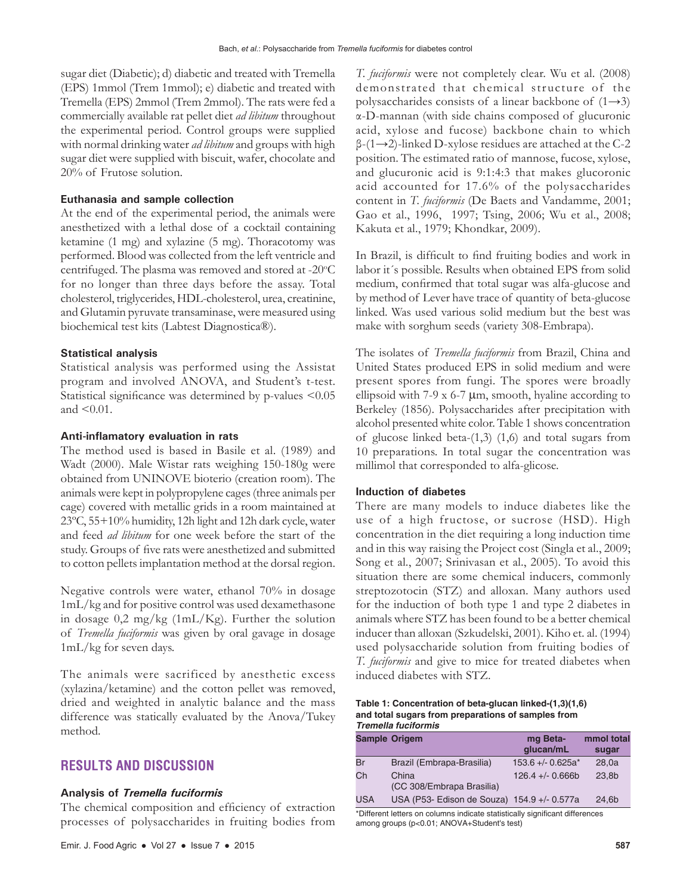sugar diet (Diabetic); d) diabetic and treated with Tremella (EPS) 1mmol (Trem 1mmol); e) diabetic and treated with Tremella (EPS) 2mmol (Trem 2mmol). The rats were fed a commercially available rat pellet diet *ad libitum* throughout the experimental period. Control groups were supplied with normal drinking water *ad libitum* and groups with high sugar diet were supplied with biscuit, wafer, chocolate and 20% of Frutose solution.

## **Euthanasia and sample collection**

At the end of the experimental period, the animals were anesthetized with a lethal dose of a cocktail containing ketamine (1 mg) and xylazine (5 mg). Thoracotomy was performed. Blood was collected from the left ventricle and centrifuged. The plasma was removed and stored at -20°C for no longer than three days before the assay. Total cholesterol, triglycerides, HDL-cholesterol, urea, creatinine, and Glutamin pyruvate transaminase, were measured using biochemical test kits (Labtest Diagnostica®).

## **Statistical analysis**

Statistical analysis was performed using the Assistat program and involved ANOVA, and Student's t-test. Statistical significance was determined by p-values <0.05 and <0.01.

## **Anti-inflamatory evaluation in rats**

The method used is based in Basile et al. (1989) and Wadt (2000). Male Wistar rats weighing 150-180g were obtained from UNINOVE bioterio (creation room). The animals were kept in polypropylene cages (three animals per cage) covered with metallic grids in a room maintained at 23ºC, 55+10% humidity, 12h light and 12h dark cycle, water and feed *ad libitum* for one week before the start of the study. Groups of five rats were anesthetized and submitted to cotton pellets implantation method at the dorsal region.

Negative controls were water, ethanol 70% in dosage 1mL/kg and for positive control was used dexamethasone in dosage 0,2 mg/kg (1mL/Kg). Further the solution of *Tremella fuciformis* was given by oral gavage in dosage 1mL/kg for seven days.

The animals were sacrificed by anesthetic excess (xylazina/ketamine) and the cotton pellet was removed, dried and weighted in analytic balance and the mass difference was statically evaluated by the Anova/Tukey method.

## **RESULTS AND DISCUSSION**

#### **Analysis of** *Tremella fuciformis*

The chemical composition and efficiency of extraction processes of polysaccharides in fruiting bodies from *T. fuciformis* were not completely clear. Wu et al. (2008) demonstrated that chemical structure of the polysaccharides consists of a linear backbone of  $(1\rightarrow3)$ α-D-mannan (with side chains composed of glucuronic acid, xylose and fucose) backbone chain to which  $\beta$ -(1→2)-linked D-xylose residues are attached at the C-2 position. The estimated ratio of mannose, fucose, xylose, and glucuronic acid is 9:1:4:3 that makes glucoronic acid accounted for 17.6% of the polysaccharides content in *T. fuciformis* (De Baets and Vandamme, 2001; Gao et al., 1996, 1997; Tsing, 2006; Wu et al., 2008; Kakuta et al., 1979; Khondkar, 2009).

In Brazil, is difficult to find fruiting bodies and work in labor it´s possible. Results when obtained EPS from solid medium, confirmed that total sugar was alfa-glucose and by method of Lever have trace of quantity of beta-glucose linked. Was used various solid medium but the best was make with sorghum seeds (variety 308-Embrapa).

The isolates of *Tremella fuciformis* from Brazil, China and United States produced EPS in solid medium and were present spores from fungi. The spores were broadly ellipsoid with 7-9 x 6-7  $\mu$ m, smooth, hyaline according to Berkeley (1856). Polysaccharides after precipitation with alcohol presented white color. Table 1 shows concentration of glucose linked beta-(1,3) (1,6) and total sugars from 10 preparations. In total sugar the concentration was millimol that corresponded to alfa-glicose.

#### **Induction of diabetes**

There are many models to induce diabetes like the use of a high fructose, or sucrose (HSD). High concentration in the diet requiring a long induction time and in this way raising the Project cost (Singla et al., 2009; Song et al., 2007; Srinivasan et al., 2005). To avoid this situation there are some chemical inducers, commonly streptozotocin (STZ) and alloxan. Many authors used for the induction of both type 1 and type 2 diabetes in animals where STZ has been found to be a better chemical inducer than alloxan (Szkudelski, 2001). Kiho et. al. (1994) used polysaccharide solution from fruiting bodies of *T. fuciformis* and give to mice for treated diabetes when induced diabetes with STZ.

#### **Table 1: Concentration of beta‑glucan linked‑(1,3)(1,6) and total sugars from preparations of samples from**  *Tremella fuciformis*

|            | <b>Sample Origem</b>                        | mg Beta-             | mmol total |
|------------|---------------------------------------------|----------------------|------------|
|            |                                             | qlucan/mL            | sugar      |
| Br         | Brazil (Embrapa-Brasilia)                   | $153.6 + - 0.625a^*$ | 28.0a      |
| Ch         | China<br>(CC 308/Embrapa Brasilia)          | $126.4 + - 0.666b$   | 23.8b      |
| <b>USA</b> | USA (P53- Edison de Souza) 154.9 +/- 0.577a |                      | 24.6b      |

\*Different letters on columns indicate statistically significant differences among groups (p<0.01; ANOVA+Student's test)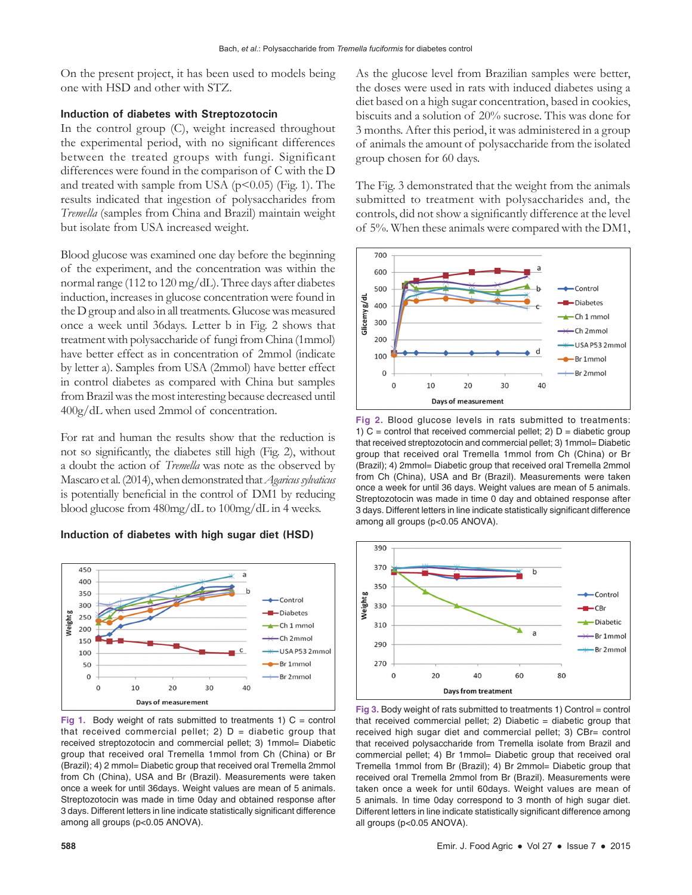On the present project, it has been used to models being one with HSD and other with STZ.

## **Induction of diabetes with Streptozotocin**

In the control group (C), weight increased throughout the experimental period, with no significant differences between the treated groups with fungi. Significant differences were found in the comparison of C with the D and treated with sample from USA ( $p$ <0.05) (Fig. 1). The results indicated that ingestion of polysaccharides from *Tremella* (samples from China and Brazil) maintain weight but isolate from USA increased weight.

Blood glucose was examined one day before the beginning of the experiment, and the concentration was within the normal range (112 to 120 mg/dL). Three days after diabetes induction, increases in glucose concentration were found in the D group and also in all treatments. Glucose was measured once a week until 36days. Letter b in Fig. 2 shows that treatment with polysaccharide of fungi from China (1mmol) have better effect as in concentration of 2mmol (indicate by letter a). Samples from USA (2mmol) have better effect in control diabetes as compared with China but samples from Brazil was the most interesting because decreased until 400g/dL when used 2mmol of concentration.

For rat and human the results show that the reduction is not so significantly, the diabetes still high (Fig. 2), without a doubt the action of *Tremella* was note as the observed by Mascaro et al.(2014), when demonstrated that *Agaricus sylvaticus* is potentially beneficial in the control of DM1 by reducing blood glucose from 480mg/dL to 100mg/dL in 4 weeks.

## **Induction of diabetes with high sugar diet (HSD)**



**Fig 1.** Body weight of rats submitted to treatments 1)  $C =$  control that received commercial pellet; 2)  $D =$  diabetic group that received streptozotocin and commercial pellet; 3) 1mmol= Diabetic group that received oral Tremella 1mmol from Ch (China) or Br (Brazil); 4) 2 mmol= Diabetic group that received oral Tremella 2mmol from Ch (China), USA and Br (Brazil). Measurements were taken once a week for until 36days. Weight values are mean of 5 animals. Streptozotocin was made in time 0day and obtained response after 3 days. Different letters in line indicate statistically significant difference among all groups (p<0.05 ANOVA).

As the glucose level from Brazilian samples were better, the doses were used in rats with induced diabetes using a diet based on a high sugar concentration, based in cookies, biscuits and a solution of 20% sucrose. This was done for 3 months. After this period, it was administered in a group of animals the amount of polysaccharide from the isolated group chosen for 60 days.

The Fig. 3 demonstrated that the weight from the animals submitted to treatment with polysaccharides and, the controls, did not show a significantly difference at the level of 5%. When these animals were compared with the DM1,



**Fig 2.** Blood glucose levels in rats submitted to treatments: 1)  $C =$  control that received commercial pellet; 2)  $D =$  diabetic group that received streptozotocin and commercial pellet; 3) 1mmol= Diabetic group that received oral Tremella 1mmol from Ch (China) or Br (Brazil); 4) 2mmol= Diabetic group that received oral Tremella 2mmol from Ch (China), USA and Br (Brazil). Measurements were taken once a week for until 36 days. Weight values are mean of 5 animals. Streptozotocin was made in time 0 day and obtained response after 3 days. Different letters in line indicate statistically significant difference among all groups (p<0.05 ANOVA).



**Fig 3.** Body weight of rats submitted to treatments 1) Control = control that received commercial pellet; 2) Diabetic  $=$  diabetic group that received high sugar diet and commercial pellet; 3) CBr= control that received polysaccharide from Tremella isolate from Brazil and commercial pellet; 4) Br 1mmol= Diabetic group that received oral Tremella 1mmol from Br (Brazil); 4) Br 2mmol= Diabetic group that received oral Tremella 2mmol from Br (Brazil). Measurements were taken once a week for until 60days. Weight values are mean of 5 animals. In time 0day correspond to 3 month of high sugar diet. Different letters in line indicate statistically significant difference among all groups (p<0.05 ANOVA).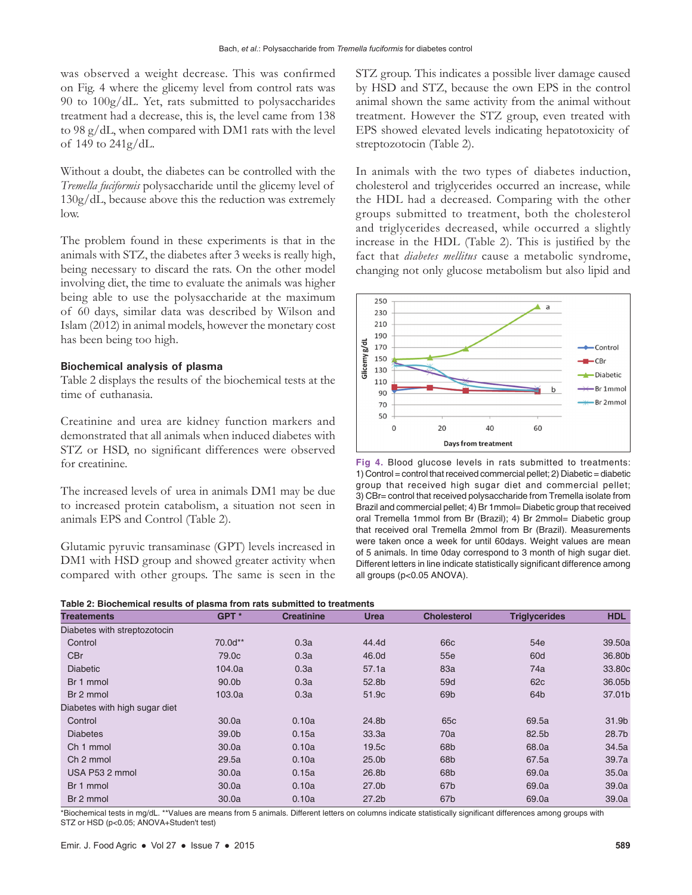was observed a weight decrease. This was confirmed on Fig. 4 where the glicemy level from control rats was 90 to 100g/dL. Yet, rats submitted to polysaccharides treatment had a decrease, this is, the level came from 138 to 98 g/dL, when compared with DM1 rats with the level of 149 to 241g/dL.

Without a doubt, the diabetes can be controlled with the *Tremella fuciformis* polysaccharide until the glicemy level of 130g/dL, because above this the reduction was extremely low.

The problem found in these experiments is that in the animals with STZ, the diabetes after 3 weeks is really high, being necessary to discard the rats. On the other model involving diet, the time to evaluate the animals was higher being able to use the polysaccharide at the maximum of 60 days, similar data was described by Wilson and Islam (2012) in animal models, however the monetary cost has been being too high.

#### **Biochemical analysis of plasma**

Table 2 displays the results of the biochemical tests at the time of euthanasia.

Creatinine and urea are kidney function markers and demonstrated that all animals when induced diabetes with STZ or HSD, no significant differences were observed for creatinine.

The increased levels of urea in animals DM1 may be due to increased protein catabolism, a situation not seen in animals EPS and Control (Table 2).

Glutamic pyruvic transaminase (GPT) levels increased in DM1 with HSD group and showed greater activity when compared with other groups. The same is seen in the STZ group. This indicates a possible liver damage caused by HSD and STZ, because the own EPS in the control animal shown the same activity from the animal without treatment. However the STZ group, even treated with EPS showed elevated levels indicating hepatotoxicity of streptozotocin (Table 2).

In animals with the two types of diabetes induction, cholesterol and triglycerides occurred an increase, while the HDL had a decreased. Comparing with the other groups submitted to treatment, both the cholesterol and triglycerides decreased, while occurred a slightly increase in the HDL (Table 2). This is justified by the fact that *diabetes mellitus* cause a metabolic syndrome, changing not only glucose metabolism but also lipid and



**Fig 4.** Blood glucose levels in rats submitted to treatments: 1) Control = control that received commercial pellet; 2) Diabetic = diabetic group that received high sugar diet and commercial pellet; 3) CBr= control that received polysaccharide from Tremella isolate from Brazil and commercial pellet; 4) Br 1mmol= Diabetic group that received oral Tremella 1mmol from Br (Brazil); 4) Br 2mmol= Diabetic group that received oral Tremella 2mmol from Br (Brazil). Measurements were taken once a week for until 60days. Weight values are mean of 5 animals. In time 0day correspond to 3 month of high sugar diet. Different letters in line indicate statistically significant difference among all groups (p<0.05 ANOVA).

| Table 2: Biochemical results of plasma from rats submitted to treatments |  |  |  |  |
|--------------------------------------------------------------------------|--|--|--|--|
|--------------------------------------------------------------------------|--|--|--|--|

| <b>Treatements</b>            | GPT <sup>*</sup>  | <b>Creatinine</b> | <b>Urea</b>       | <b>Cholesterol</b> | <b>Triglycerides</b> | <b>HDL</b> |
|-------------------------------|-------------------|-------------------|-------------------|--------------------|----------------------|------------|
| Diabetes with streptozotocin  |                   |                   |                   |                    |                      |            |
| Control                       | 70.0d**           | 0.3a              | 44.4d             | 66 <sub>c</sub>    | 54e                  | 39.50a     |
| CBr                           | 79.0 <sub>c</sub> | 0.3a              | 46.0d             | 55e                | 60d                  | 36,80b     |
| <b>Diabetic</b>               | 104.0a            | 0.3a              | 57.1a             | 83a                | 74a                  | 33.80c     |
| Br 1 mmol                     | 90.0b             | 0.3a              | 52.8b             | 59d                | 62 <sub>c</sub>      | 36.05b     |
| Br 2 mmol                     | 103.0a            | 0.3a              | 51.9c             | 69 <sub>b</sub>    | 64b                  | 37.01b     |
| Diabetes with high sugar diet |                   |                   |                   |                    |                      |            |
| Control                       | 30.0a             | 0.10a             | 24.8b             | 65 <sub>c</sub>    | 69.5a                | 31.9b      |
| <b>Diabetes</b>               | 39.0b             | 0.15a             | 33.3a             | 70a                | 82.5b                | 28.7b      |
| Ch <sub>1</sub> mmol          | 30.0a             | 0.10a             | 19.5c             | 68 <sub>b</sub>    | 68.0a                | 34.5a      |
| Ch 2 mmol                     | 29.5a             | 0.10a             | 25.0 <sub>b</sub> | 68b                | 67.5a                | 39.7a      |
| USA P53 2 mmol                | 30.0a             | 0.15a             | 26.8b             | 68 <sub>b</sub>    | 69.0a                | 35.0a      |
| Br 1 mmol                     | 30.0a             | 0.10a             | 27.0 <sub>b</sub> | 67b                | 69.0a                | 39.0a      |
| Br 2 mmol                     | 30.0a             | 0.10a             | 27.2 <sub>b</sub> | 67b                | 69.0a                | 39.0a      |

\*Biochemical tests in mg/dL. \*\*Values are means from 5 animals. Different letters on columns indicate statistically significant differences among groups with STZ or HSD (p<0.05; ANOVA+Studen't test)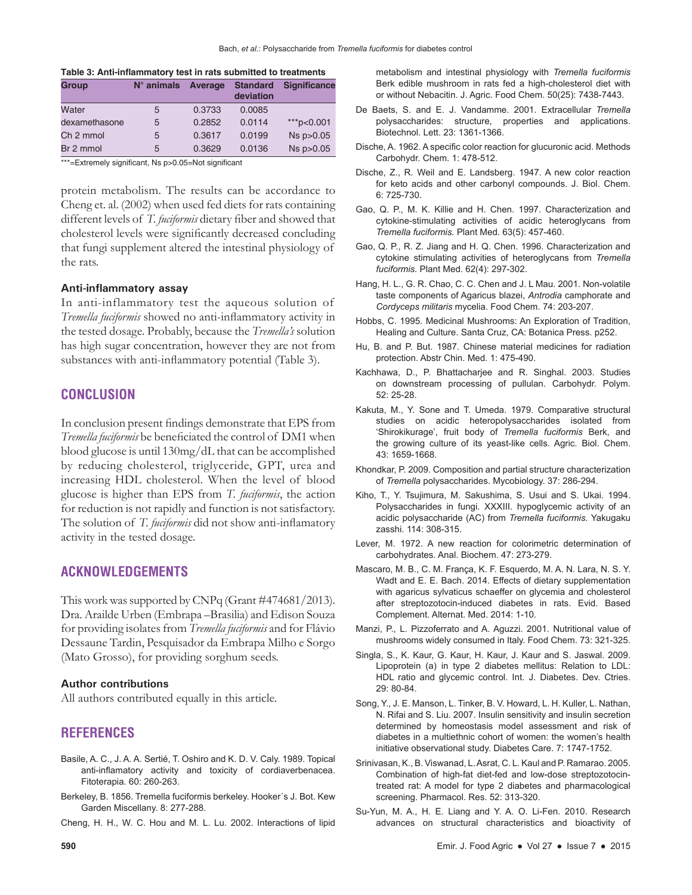| <b>Group</b>  | $N^{\circ}$ animals | Average | <b>Standard</b><br>deviation | <b>Significance</b> |
|---------------|---------------------|---------|------------------------------|---------------------|
| Water         | 5                   | 0.3733  | 0.0085                       |                     |
| dexamethasone | 5                   | 0.2852  | 0.0114                       | ***p<0.001          |
| Ch 2 mmol     | 5                   | 0.3617  | 0.0199                       | Ns p>0.05           |
| Br 2 mmol     | 5                   | 0.3629  | 0.0136                       | $Ns$ $p > 0.05$     |

\*\*\*=Extremely significant, Ns p>0.05=Not significant

protein metabolism. The results can be accordance to Cheng et. al. (2002) when used fed diets for rats containing different levels of *T. fuciformis* dietary fiber and showed that cholesterol levels were significantly decreased concluding that fungi supplement altered the intestinal physiology of the rats.

#### **Anti-inflammatory assay**

In anti-inflammatory test the aqueous solution of *Tremella fuciformis* showed no anti-inflammatory activity in the tested dosage. Probably, because the *Tremella's* solution has high sugar concentration, however they are not from substances with anti-inflammatory potential (Table 3).

## **CONCLUSION**

In conclusion present findings demonstrate that EPS from *Tremella fuciformis* be beneficiated the control of DM1 when blood glucose is until 130mg/dL that can be accomplished by reducing cholesterol, triglyceride, GPT, urea and increasing HDL cholesterol. When the level of blood glucose is higher than EPS from *T. fuciformis*, the action for reduction is not rapidly and function is not satisfactory. The solution of *T. fuciformis* did not show anti-inflamatory activity in the tested dosage.

## **ACKNOWLEDGEMENTS**

This work was supported by CNPq (Grant #474681/2013). Dra. Arailde Urben (Embrapa –Brasilia) and Edison Souza for providing isolates from *Tremella fuciformis* and for Flávio Dessaune Tardin, Pesquisador da Embrapa Milho e Sorgo (Mato Grosso), for providing sorghum seeds.

#### **Author contributions**

All authors contributed equally in this article.

# **REFERENCES**

- Basile, A. C., J. A. A. Sertié, T. Oshiro and K. D. V. Caly. 1989. Topical anti-inflamatory activity and toxicity of cordiaverbenacea. Fitoterapia. 60: 260-263.
- Berkeley, B. 1856. Tremella fuciformis berkeley. Hooker´s J. Bot. Kew Garden Miscellany. 8: 277-288.
- Cheng, H. H., W. C. Hou and M. L. Lu. 2002. Interactions of lipid

metabolism and intestinal physiology with *Tremella fuciformis* Berk edible mushroom in rats fed a high-cholesterol diet with or without Nebacitin. J. Agric. Food Chem. 50(25): 7438-7443.

- De Baets, S. and E. J. Vandamme. 2001. Extracellular *Tremella* polysaccharides: structure, properties and applications. Biotechnol. Lett. 23: 1361-1366.
- Dische, A. 1962. A specific color reaction for glucuronic acid. Methods Carbohydr. Chem. 1: 478-512.
- Dische, Z., R. Weil and E. Landsberg. 1947. A new color reaction for keto acids and other carbonyl compounds. J. Biol. Chem. 6: 725-730.
- Gao, Q. P., M. K. Killie and H. Chen. 1997. Characterization and cytokine-stimulating activities of acidic heteroglycans from *Tremella fuciformis.* Plant Med. 63(5): 457-460.
- Gao, Q. P., R. Z. Jiang and H. Q. Chen. 1996. Characterization and cytokine stimulating activities of heteroglycans from *Tremella fuciformis.* Plant Med. 62(4): 297-302.
- Hang, H. L., G. R. Chao, C. C. Chen and J. L Mau. 2001. Non-volatile taste components of Agaricus blazei, *Antrodia* camphorate and *Cordyceps militaris* mycelia. Food Chem. 74: 203-207.
- Hobbs, C. 1995. Medicinal Mushrooms: An Exploration of Tradition, Healing and Culture. Santa Cruz, CA: Botanica Press. p252.
- Hu, B. and P. But. 1987. Chinese material medicines for radiation protection. Abstr Chin. Med. 1: 475-490.
- Kachhawa, D., P. Bhattacharjee and R. Singhal. 2003. Studies on downstream processing of pullulan. Carbohydr. Polym.  $52.25 - 28$
- Kakuta, M., Y. Sone and T. Umeda. 1979. Comparative structural studies on acidic heteropolysaccharides isolated from 'Shirokikurage', fruit body of *Tremella fuciformis* Berk, and the growing culture of its yeast-like cells. Agric. Biol. Chem. 43: 1659-1668.
- Khondkar, P. 2009. Composition and partial structure characterization of *Tremella* polysaccharides. Mycobiology. 37: 286-294.
- Kiho, T., Y. Tsujimura, M. Sakushima, S. Usui and S. Ukai. 1994. Polysaccharides in fungi. XXXIII. hypoglycemic activity of an acidic polysaccharide (AC) from *Tremella fuciformis.* Yakugaku zasshi. 114: 308-315.
- Lever, M. 1972. A new reaction for colorimetric determination of carbohydrates. Anal. Biochem. 47: 273-279.
- Mascaro, M. B., C. M. França, K. F. Esquerdo, M. A. N. Lara, N. S. Y. Wadt and E. E. Bach. 2014. Effects of dietary supplementation with agaricus sylvaticus schaeffer on glycemia and cholesterol after streptozotocin-induced diabetes in rats. Evid. Based Complement. Alternat. Med. 2014: 1-10.
- Manzi, P., L. Pizzoferrato and A. Aguzzi. 2001. Nutritional value of mushrooms widely consumed in Italy. Food Chem. 73: 321-325.
- Singla, S., K. Kaur, G. Kaur, H. Kaur, J. Kaur and S. Jaswal. 2009. Lipoprotein (a) in type 2 diabetes mellitus: Relation to LDL: HDL ratio and glycemic control. Int. J. Diabetes. Dev. Ctries. 29: 80‑84.
- Song, Y., J. E. Manson, L. Tinker, B. V. Howard, L. H. Kuller, L. Nathan, N. Rifai and S. Liu. 2007. Insulin sensitivity and insulin secretion determined by homeostasis model assessment and risk of diabetes in a multiethnic cohort of women: the women's health initiative observational study. Diabetes Care. 7: 1747-1752.
- Srinivasan, K., B. Viswanad, L. Asrat, C. L. Kaul and P. Ramarao. 2005. Combination of high-fat diet-fed and low-dose streptozotocintreated rat: A model for type 2 diabetes and pharmacological screening. Pharmacol. Res. 52: 313-320.
- Su-Yun, M. A., H. E. Liang and Y. A. O. Li-Fen. 2010. Research advances on structural characteristics and bioactivity of